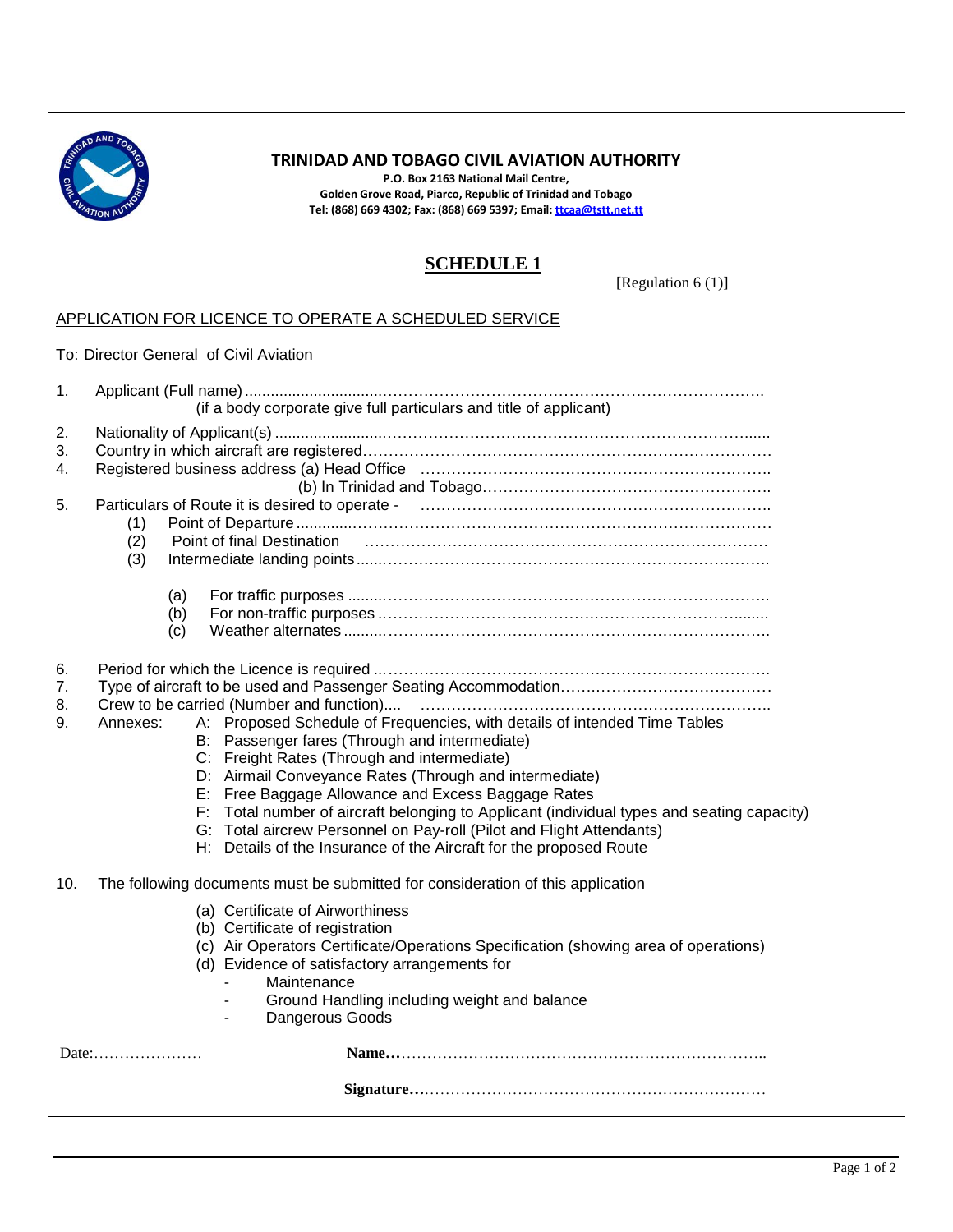

## **TRINIDAD AND TOBAGO CIVIL AVIATION AUTHORITY**

**P.O. Box 2163 National Mail Centre, Golden Grove Road, Piarco, Republic of Trinidad and Tobago Tel: (868) 669 4302; Fax: (868) 669 5397; Email[: ttcaa@tstt.net.tt](mailto:ttcaa@tstt.net.tt)**

## **SCHEDULE 1**

[Regulation 6 (1)]

## APPLICATION FOR LICENCE TO OPERATE A SCHEDULED SERVICE

To: Director General of Civil Aviation

| 1.                   | (if a body corporate give full particulars and title of applicant)                                                                                                                                                                                                                                                                                                                                                                                                                                                                                |
|----------------------|---------------------------------------------------------------------------------------------------------------------------------------------------------------------------------------------------------------------------------------------------------------------------------------------------------------------------------------------------------------------------------------------------------------------------------------------------------------------------------------------------------------------------------------------------|
| 2.<br>3.<br>4.<br>5. | Particulars of Route it is desired to operate - manufactured contain manufactured contained and Particular Section<br>(1)<br>Point of final Destination<br>(2)<br>(3)                                                                                                                                                                                                                                                                                                                                                                             |
|                      | (a)<br>(b)<br>(c)                                                                                                                                                                                                                                                                                                                                                                                                                                                                                                                                 |
| 6.<br>7.<br>8.<br>9. | A: Proposed Schedule of Frequencies, with details of intended Time Tables<br>Annexes:<br>B: Passenger fares (Through and intermediate)<br>C: Freight Rates (Through and intermediate)<br>D: Airmail Conveyance Rates (Through and intermediate)<br>E: Free Baggage Allowance and Excess Baggage Rates<br>F: Total number of aircraft belonging to Applicant (individual types and seating capacity)<br>G: Total aircrew Personnel on Pay-roll (Pilot and Flight Attendants)<br>H: Details of the Insurance of the Aircraft for the proposed Route |
| 10.                  | The following documents must be submitted for consideration of this application<br>(a) Certificate of Airworthiness<br>(b) Certificate of registration<br>(c) Air Operators Certificate/Operations Specification (showing area of operations)<br>(d) Evidence of satisfactory arrangements for<br>Maintenance<br>Ground Handling including weight and balance<br>Dangerous Goods                                                                                                                                                                  |
|                      | Date:                                                                                                                                                                                                                                                                                                                                                                                                                                                                                                                                             |
|                      |                                                                                                                                                                                                                                                                                                                                                                                                                                                                                                                                                   |